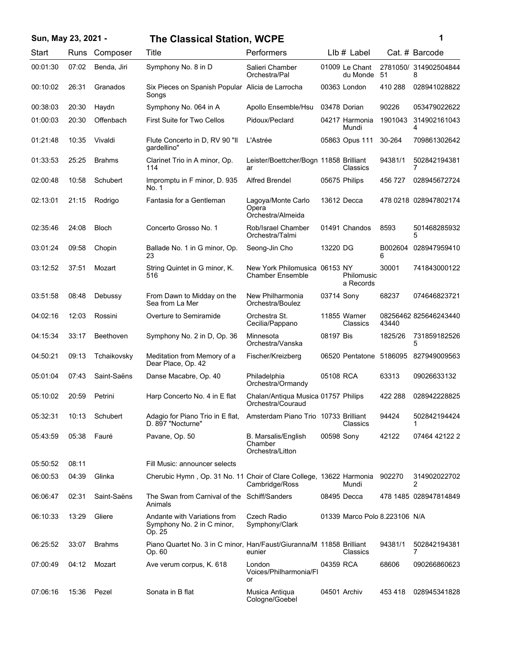| Sun, May 23, 2021 - |       |               | <b>The Classical Station, WCPE</b>                                                         |                                                          |            |                               |              | 1                          |
|---------------------|-------|---------------|--------------------------------------------------------------------------------------------|----------------------------------------------------------|------------|-------------------------------|--------------|----------------------------|
| Start               | Runs  | Composer      | Title                                                                                      | Performers                                               |            | $Llb#$ Label                  |              | Cat. # Barcode             |
| 00:01:30            | 07:02 | Benda, Jiri   | Symphony No. 8 in D                                                                        | Salieri Chamber<br>Orchestra/Pal                         |            | 01009 Le Chant<br>du Monde    | 51           | 2781050/ 314902504844<br>8 |
| 00:10:02            | 26:31 | Granados      | Six Pieces on Spanish Popular Alicia de Larrocha<br>Songs                                  |                                                          |            | 00363 London                  | 410 288      | 028941028822               |
| 00:38:03            | 20:30 | Haydn         | Symphony No. 064 in A                                                                      | Apollo Ensemble/Hsu                                      |            | 03478 Dorian                  | 90226        | 053479022622               |
| 01:00:03            | 20:30 | Offenbach     | First Suite for Two Cellos                                                                 | Pidoux/Peclard                                           |            | 04217 Harmonia<br>Mundi       | 1901043      | 314902161043<br>4          |
| 01:21:48            | 10:35 | Vivaldi       | Flute Concerto in D, RV 90 "II<br>qardellino"                                              | L'Astrée                                                 |            | 05863 Opus 111                | 30-264       | 709861302642               |
| 01:33:53            | 25:25 | <b>Brahms</b> | Clarinet Trio in A minor, Op.<br>114                                                       | Leister/Boettcher/Bogn 11858 Brilliant<br>ar             |            | Classics                      | 94381/1      | 502842194381<br>7          |
| 02:00:48            | 10:58 | Schubert      | Impromptu in F minor, D. 935<br>No. 1                                                      | <b>Alfred Brendel</b>                                    |            | 05675 Philips                 | 456 727      | 028945672724               |
| 02:13:01            | 21:15 | Rodrigo       | Fantasia for a Gentleman                                                                   | Lagoya/Monte Carlo<br>Opera<br>Orchestra/Almeida         |            | 13612 Decca                   |              | 478 0218 028947802174      |
| 02:35:46            | 24:08 | <b>Bloch</b>  | Concerto Grosso No. 1                                                                      | Rob/Israel Chamber<br>Orchestra/Talmi                    |            | 01491 Chandos                 | 8593         | 501468285932<br>5          |
| 03:01:24            | 09:58 | Chopin        | Ballade No. 1 in G minor, Op.<br>23                                                        | Seong-Jin Cho                                            | 13220 DG   |                               | B002604<br>6 | 028947959410               |
| 03:12:52            | 37:51 | Mozart        | String Quintet in G minor, K.<br>516                                                       | New York Philomusica 06153 NY<br><b>Chamber Ensemble</b> |            | Philomusic<br>a Records       | 30001        | 741843000122               |
| 03:51:58            | 08:48 | Debussy       | From Dawn to Midday on the<br>Sea from La Mer                                              | New Philharmonia<br>Orchestra/Boulez                     | 03714 Sony |                               | 68237        | 074646823721               |
| 04:02:16            | 12:03 | Rossini       | Overture to Semiramide                                                                     | Orchestra St.<br>Cecilia/Pappano                         |            | 11855 Warner<br>Classics      | 43440        | 08256462 825646243440      |
| 04:15:34            | 33:17 | Beethoven     | Symphony No. 2 in D, Op. 36                                                                | Minnesota<br>Orchestra/Vanska                            | 08197 Bis  |                               | 1825/26      | 731859182526<br>5          |
| 04:50:21            | 09:13 | Tchaikovsky   | Meditation from Memory of a<br>Dear Place, Op. 42                                          | Fischer/Kreizberg                                        |            | 06520 Pentatone               | 5186095      | 827949009563               |
| 05:01:04            | 07:43 | Saint-Saëns   | Danse Macabre, Op. 40                                                                      | Philadelphia<br>Orchestra/Ormandy                        | 05108 RCA  |                               | 63313        | 09026633132                |
| 05:10:02            | 20:59 | Petrini       | Harp Concerto No. 4 in E flat                                                              | Chalan/Antiqua Musica 01757 Philips<br>Orchestra/Couraud |            |                               | 422 288      | 028942228825               |
| 05:32:31            | 10:13 | Schubert      | Adagio for Piano Trio in E flat, Amsterdam Piano Trio 10733 Brilliant<br>D. 897 "Nocturne" |                                                          |            | Classics                      | 94424        | 502842194424               |
| 05:43:59            | 05:38 | Fauré         | Pavane, Op. 50                                                                             | B. Marsalis/English<br>Chamber<br>Orchestra/Litton       | 00598 Sony |                               | 42122        | 07464 42122 2              |
| 05:50:52            | 08:11 |               | Fill Music: announcer selects                                                              |                                                          |            |                               |              |                            |
| 06:00:53            | 04:39 | Glinka        | Cherubic Hymn, Op. 31 No. 11 Choir of Clare College, 13622 Harmonia                        | Cambridge/Ross                                           |            | Mundi                         | 902270       | 314902022702<br>2          |
| 06:06:47            | 02:31 | Saint-Saëns   | The Swan from Carnival of the Schiff/Sanders<br>Animals                                    |                                                          |            | 08495 Decca                   |              | 478 1485 028947814849      |
| 06:10:33            | 13:29 | Gliere        | Andante with Variations from<br>Symphony No. 2 in C minor,<br>Op. 25                       | Czech Radio<br>Symphony/Clark                            |            | 01339 Marco Polo 8.223106 N/A |              |                            |
| 06:25:52            | 33:07 | <b>Brahms</b> | Piano Quartet No. 3 in C minor, Han/Faust/Giuranna/M 11858 Brilliant<br>Op. 60             | eunier                                                   |            | Classics                      | 94381/1      | 502842194381<br>7          |
| 07:00:49            | 04:12 | Mozart        | Ave verum corpus, K. 618                                                                   | London<br>Voices/Philharmonia/Fl<br>or                   | 04359 RCA  |                               | 68606        | 090266860623               |
| 07:06:16            | 15:36 | Pezel         | Sonata in B flat                                                                           | Musica Antiqua<br>Cologne/Goebel                         |            | 04501 Archiv                  | 453 418      | 028945341828               |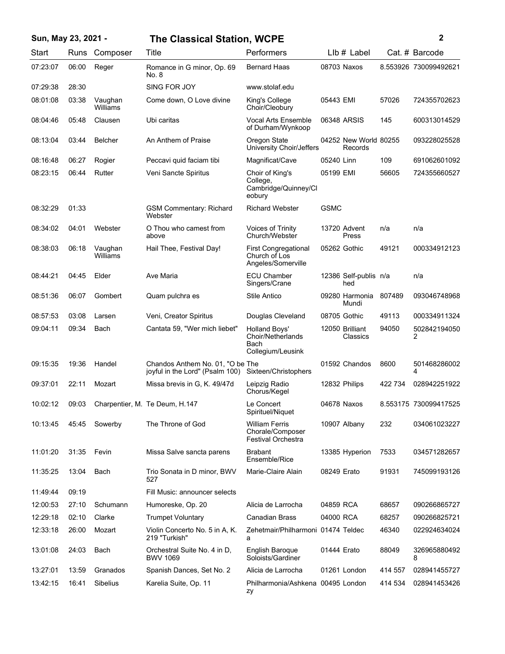## **Sun, May 23, 2021 - 2 The Classical Station, WCPE**

| Start    | Runs  | Composer            | Title                                                               | Performers                                                         | Llb # Label                      |         | Cat. # Barcode        |
|----------|-------|---------------------|---------------------------------------------------------------------|--------------------------------------------------------------------|----------------------------------|---------|-----------------------|
| 07:23:07 | 06:00 | Reger               | Romance in G minor, Op. 69<br>No. 8                                 | <b>Bernard Haas</b>                                                | 08703 Naxos                      |         | 8.553926 730099492621 |
| 07:29:38 | 28:30 |                     | SING FOR JOY                                                        | www.stolaf.edu                                                     |                                  |         |                       |
| 08:01:08 | 03:38 | Vaughan<br>Williams | Come down, O Love divine                                            | King's College<br>Choir/Cleobury                                   | 05443 EMI                        | 57026   | 724355702623          |
| 08:04:46 | 05:48 | Clausen             | Ubi caritas                                                         | <b>Vocal Arts Ensemble</b><br>of Durham/Wynkoop                    | 06348 ARSIS                      | 145     | 600313014529          |
| 08:13:04 | 03:44 | Belcher             | An Anthem of Praise                                                 | Oregon State<br>University Choir/Jeffers                           | 04252 New World 80255<br>Records |         | 093228025528          |
| 08:16:48 | 06:27 | Rogier              | Peccavi quid faciam tibi                                            | Magnificat/Cave                                                    | 05240 Linn                       | 109     | 691062601092          |
| 08:23:15 | 06:44 | Rutter              | Veni Sancte Spiritus                                                | Choir of King's<br>College,<br>Cambridge/Quinney/Cl<br>eobury      | 05199 EMI                        | 56605   | 724355660527          |
| 08:32:29 | 01:33 |                     | <b>GSM Commentary: Richard</b><br>Webster                           | <b>Richard Webster</b>                                             | <b>GSMC</b>                      |         |                       |
| 08:34:02 | 04:01 | Webster             | O Thou who camest from<br>above                                     | <b>Voices of Trinity</b><br>Church/Webster                         | 13720 Advent<br>Press            | n/a     | n/a                   |
| 08:38:03 | 06:18 | Vaughan<br>Williams | Hail Thee, Festival Day!                                            | <b>First Congregational</b><br>Church of Los<br>Angeles/Somerville | 05262 Gothic                     | 49121   | 000334912123          |
| 08:44:21 | 04:45 | Elder               | Ave Maria                                                           | <b>ECU Chamber</b><br>Singers/Crane                                | 12386 Self-publis n/a<br>hed     |         | n/a                   |
| 08:51:36 | 06:07 | Gombert             | Quam pulchra es                                                     | Stile Antico                                                       | 09280 Harmonia<br>Mundi          | 807489  | 093046748968          |
| 08:57:53 | 03:08 | Larsen              | Veni, Creator Spiritus                                              | Douglas Cleveland                                                  | 08705 Gothic                     | 49113   | 000334911324          |
| 09:04:11 | 09:34 | Bach                | Cantata 59, "Wer mich liebet"                                       | Holland Boys'<br>Choir/Netherlands<br>Bach<br>Collegium/Leusink    | 12050 Brilliant<br>Classics      | 94050   | 502842194050<br>2     |
| 09:15:35 | 19:36 | Handel              | Chandos Anthem No. 01, "O be The<br>joyful in the Lord" (Psalm 100) | Sixteen/Christophers                                               | 01592 Chandos                    | 8600    | 501468286002<br>4     |
| 09:37:01 | 22:11 | Mozart              | Missa brevis in G, K. 49/47d                                        | Leipzig Radio<br>Chorus/Kegel                                      | 12832 Philips                    | 422 734 | 028942251922          |
| 10:02:12 | 09:03 |                     | Charpentier, M. Te Deum, H.147                                      | Le Concert<br>Spirituel/Niquet                                     | 04678 Naxos                      |         | 8.553175 730099417525 |
| 10:13:45 | 45:45 | Sowerby             | The Throne of God                                                   | <b>William Ferris</b><br>Chorale/Composer<br>Festival Orchestra    | 10907 Albany                     | 232     | 034061023227          |
| 11:01:20 | 31:35 | Fevin               | Missa Salve sancta parens                                           | <b>Brabant</b><br>Ensemble/Rice                                    | 13385 Hyperion                   | 7533    | 034571282657          |
| 11:35:25 | 13:04 | Bach                | Trio Sonata in D minor, BWV<br>527                                  | Marie-Claire Alain                                                 | 08249 Erato                      | 91931   | 745099193126          |
| 11:49:44 | 09:19 |                     | Fill Music: announcer selects                                       |                                                                    |                                  |         |                       |
| 12:00:53 | 27:10 | Schumann            | Humoreske, Op. 20                                                   | Alicia de Larrocha                                                 | 04859 RCA                        | 68657   | 090266865727          |
| 12:29:18 | 02:10 | Clarke              | <b>Trumpet Voluntary</b>                                            | <b>Canadian Brass</b>                                              | 04000 RCA                        | 68257   | 090266825721          |
| 12:33:18 | 26:00 | Mozart              | Violin Concerto No. 5 in A, K.<br>219 "Turkish"                     | Zehetmair/Philharmoni 01474 Teldec<br>a                            |                                  | 46340   | 022924634024          |
| 13:01:08 | 24:03 | Bach                | Orchestral Suite No. 4 in D,<br><b>BWV 1069</b>                     | English Baroque<br>Soloists/Gardiner                               | 01444 Erato                      | 88049   | 326965880492<br>8     |
| 13:27:01 | 13:59 | Granados            | Spanish Dances, Set No. 2                                           | Alicia de Larrocha                                                 | 01261 London                     | 414 557 | 028941455727          |
| 13:42:15 | 16:41 | Sibelius            | Karelia Suite, Op. 11                                               | Philharmonia/Ashkena 00495 London<br>zy                            |                                  | 414 534 | 028941453426          |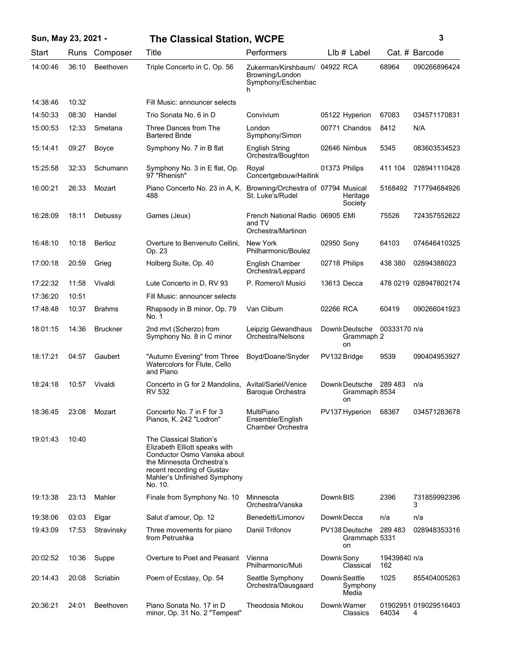| Sun, May 23, 2021 - |       |                 | <b>The Classical Station, WCPE</b>                                                                                                                                                            |                                                                             |                                           | 3                   |                            |
|---------------------|-------|-----------------|-----------------------------------------------------------------------------------------------------------------------------------------------------------------------------------------------|-----------------------------------------------------------------------------|-------------------------------------------|---------------------|----------------------------|
| Start               | Runs  | Composer        | Title                                                                                                                                                                                         | Performers                                                                  | LIb # Label                               |                     | Cat. # Barcode             |
| 14:00:46            | 36:10 | Beethoven       | Triple Concerto in C, Op. 56                                                                                                                                                                  | Zukerman/Kirshbaum/ 04922 RCA<br>Browning/London<br>Symphony/Eschenbac<br>h |                                           | 68964               | 090266896424               |
| 14:38:46            | 10:32 |                 | Fill Music: announcer selects                                                                                                                                                                 |                                                                             |                                           |                     |                            |
| 14:50:33            | 08:30 | Handel          | Trio Sonata No. 6 in D                                                                                                                                                                        | Convivium                                                                   | 05122 Hyperion                            | 67083               | 034571170831               |
| 15:00:53            | 12:33 | Smetana         | Three Dances from The<br><b>Bartered Bride</b>                                                                                                                                                | London<br>Symphony/Simon                                                    | 00771 Chandos                             | 8412                | N/A                        |
| 15:14:41            | 09:27 | Boyce           | Symphony No. 7 in B flat                                                                                                                                                                      | <b>English String</b><br>Orchestra/Boughton                                 | 02646 Nimbus                              | 5345                | 083603534523               |
| 15:25:58            | 32:33 | Schumann        | Symphony No. 3 in E flat, Op.<br>97 "Rhenish"                                                                                                                                                 | Royal<br>Concertgebouw/Haitink                                              | 01373 Philips                             | 411 104             | 028941110428               |
| 16:00:21            | 26:33 | Mozart          | Piano Concerto No. 23 in A, K.<br>488                                                                                                                                                         | Browning/Orchestra of 07794 Musical<br>St. Luke's/Rudel                     | Heritage<br>Society                       |                     | 5168492 717794684926       |
| 16:28:09            | 18:11 | Debussy         | Games (Jeux)                                                                                                                                                                                  | French National Radio 06905 EMI<br>and TV<br>Orchestra/Martinon             |                                           | 75526               | 724357552622               |
| 16:48:10            | 10:18 | <b>Berlioz</b>  | Overture to Benvenuto Cellini,<br>Op. 23                                                                                                                                                      | New York<br>Philharmonic/Boulez                                             | 02950 Sony                                | 64103               | 074646410325               |
| 17:00:18            | 20:59 | Grieg           | Holberg Suite, Op. 40                                                                                                                                                                         | English Chamber<br>Orchestra/Leppard                                        | 02718 Philips                             | 438 380             | 02894388023                |
| 17:22:32            | 11:58 | Vivaldi         | Lute Concerto in D, RV 93                                                                                                                                                                     | P. Romero/I Musici                                                          | 13613 Decca                               |                     | 478 0219 028947802174      |
| 17:36:20            | 10:51 |                 | Fill Music: announcer selects                                                                                                                                                                 |                                                                             |                                           |                     |                            |
| 17:48:48            | 10:37 | <b>Brahms</b>   | Rhapsody in B minor, Op. 79<br>No. 1                                                                                                                                                          | Van Cliburn                                                                 | 02266 RCA                                 | 60419               | 090266041923               |
| 18:01:15            | 14:36 | <b>Bruckner</b> | 2nd mvt (Scherzo) from<br>Symphony No. 8 in C minor                                                                                                                                           | Leipzig Gewandhaus<br>Orchestra/Nelsons                                     | Downk Deutsche<br>Grammaph 2<br><b>on</b> | 00333170 n/a        |                            |
| 18:17:21            | 04:57 | Gaubert         | "Autumn Evening" from Three<br>Watercolors for Flute, Cello<br>and Piano                                                                                                                      | Boyd/Doane/Snyder                                                           | PV132 Bridge                              | 9539                | 090404953927               |
| 18:24:18            | 10:57 | Vivaldi         | Concerto in G for 2 Mandolins, Avital/Sariel/Venice<br><b>RV 532</b>                                                                                                                          | Baroque Orchestra                                                           | Downk Deutsche<br>Grammaph 8534<br>on     | 289 483             | n/a                        |
| 18:36:45            | 23:08 | Mozart          | Concerto No. 7 in F for 3<br>Pianos, K. 242 "Lodron"                                                                                                                                          | MultiPiano<br>Ensemble/English<br><b>Chamber Orchestra</b>                  | PV137 Hyperion                            | 68367               | 034571283678               |
| 19:01:43            | 10:40 |                 | The Classical Station's<br>Elizabeth Elliott speaks with<br>Conductor Osmo Vanska about<br>the Minnesota Orchestra's<br>recent recording of Gustav<br>Mahler's Unfinished Symphony<br>No. 10. |                                                                             |                                           |                     |                            |
| 19:13:38            | 23:13 | Mahler          | Finale from Symphony No. 10                                                                                                                                                                   | Minnesota<br>Orchestra/Vanska                                               | Downk BIS                                 | 2396                | 731859992396<br>3          |
| 19:38:06            | 03:03 | Elgar           | Salut d'amour, Op. 12                                                                                                                                                                         | Benedetti/Limonov                                                           | Downk Decca                               | n/a                 | n/a                        |
| 19:43:09            | 17:53 | Stravinsky      | Three movements for piano<br>from Petrushka                                                                                                                                                   | Daniil Trifonov                                                             | PV138 Deutsche<br>Grammaph 5331<br>on     | 289 483             | 028948353316               |
| 20:02:52            | 10:36 | Suppe           | Overture to Poet and Peasant                                                                                                                                                                  | Vienna<br>Philharmonic/Muti                                                 | Downk Sony<br>Classical                   | 19439840 n/a<br>162 |                            |
| 20:14:43            | 20:08 | Scriabin        | Poem of Ecstasy, Op. 54                                                                                                                                                                       | Seattle Symphony<br>Orchestra/Dausgaard                                     | Downk Seattle<br>Symphony<br>Media        | 1025                | 855404005263               |
| 20:36:21            | 24:01 | Beethoven       | Piano Sonata No. 17 in D<br>minor, Op. 31 No. 2 "Tempest"                                                                                                                                     | Theodosia Ntokou                                                            | Downk Warner<br>Classics                  | 64034               | 01902951 019029516403<br>4 |